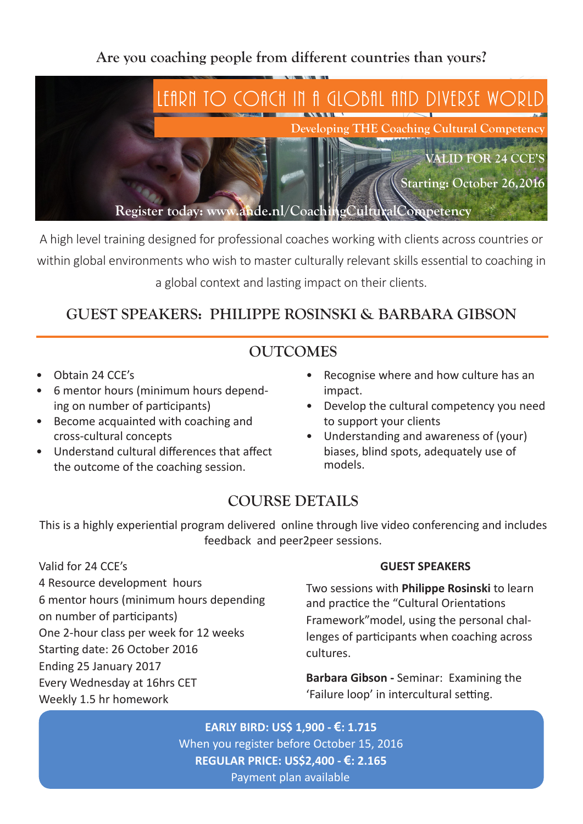**Are you coaching people from different countries than yours?**



A high level training designed for professional coaches working with clients across countries or within global environments who wish to master culturally relevant skills essential to coaching in a global context and lasting impact on their clients.

## **GUEST SPEAKERS: PHILIPPE ROSINSKI & BARBARA GIBSON**

### **OUTCOMES**

- Obtain 24 CCE's
- • 6 mentor hours (minimum hours depending on number of participants)
- • Become acquainted with coaching and cross-cultural concepts
- • Understand cultural differences that affect the outcome of the coaching session.
- Recognise where and how culture has an impact.
- Develop the cultural competency you need to support your clients
- Understanding and awareness of (your) biases, blind spots, adequately use of models.

## **COURSE DETAILS**

This is a highly experiential program delivered online through live video conferencing and includes feedback and peer2peer sessions.

Valid for 24 CCE's 4 Resource development hours 6 mentor hours (minimum hours depending on number of participants) One 2-hour class per week for 12 weeks Starting date: 26 October 2016 Ending 25 January 2017 Every Wednesday at 16hrs CET Weekly 1.5 hr homework

#### **GUEST SPEAKERS**

Two sessions with **Philippe Rosinski** to learn and practice the "Cultural Orientations Framework"model, using the personal challenges of participants when coaching across cultures.

**Barbara Gibson -** Seminar: Examining the 'Failure loop' in intercultural setting.

**EARLY BIRD: US\$ 1,900 - €: 1.715** When you register before October 15, 2016 **REGULAR PRICE: US\$2,400 - €: 2.165** Payment plan available